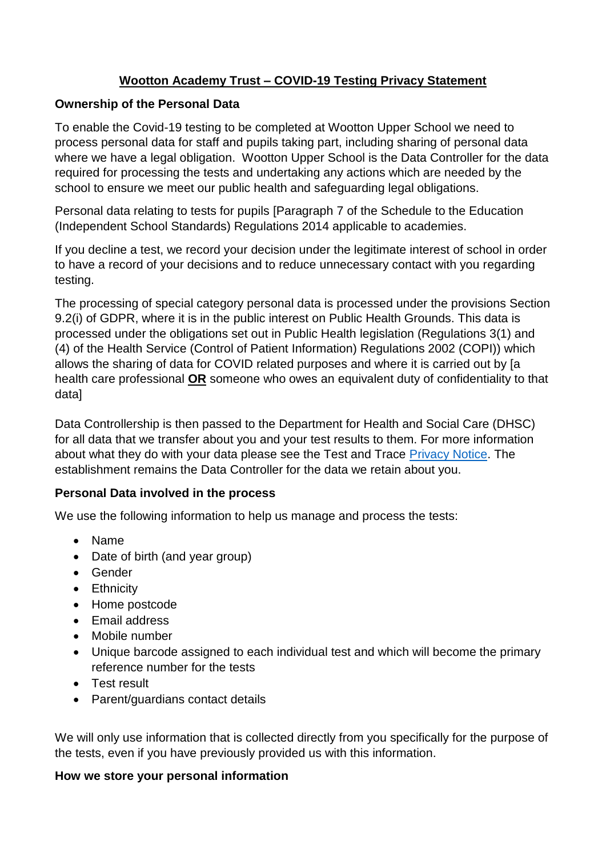# **Wootton Academy Trust – COVID-19 Testing Privacy Statement**

#### **Ownership of the Personal Data**

To enable the Covid-19 testing to be completed at Wootton Upper School we need to process personal data for staff and pupils taking part, including sharing of personal data where we have a legal obligation. Wootton Upper School is the Data Controller for the data required for processing the tests and undertaking any actions which are needed by the school to ensure we meet our public health and safeguarding legal obligations.

Personal data relating to tests for pupils [Paragraph 7 of the Schedule to the Education (Independent School Standards) Regulations 2014 applicable to academies.

If you decline a test, we record your decision under the legitimate interest of school in order to have a record of your decisions and to reduce unnecessary contact with you regarding testing.

The processing of special category personal data is processed under the provisions Section 9.2(i) of GDPR, where it is in the public interest on Public Health Grounds. This data is processed under the obligations set out in Public Health legislation (Regulations 3(1) and (4) of the Health Service (Control of Patient Information) Regulations 2002 (COPI)) which allows the sharing of data for COVID related purposes and where it is carried out by [a health care professional **OR** someone who owes an equivalent duty of confidentiality to that data]

Data Controllership is then passed to the Department for Health and Social Care (DHSC) for all data that we transfer about you and your test results to them. For more information about what they do with your data please see the Test and Trace [Privacy Notice.](https://contact-tracing.phe.gov.uk/help/privacy-notice) The establishment remains the Data Controller for the data we retain about you.

#### **Personal Data involved in the process**

We use the following information to help us manage and process the tests:

- Name
- Date of birth (and year group)
- Gender
- Ethnicity
- Home postcode
- Email address
- Mobile number
- Unique barcode assigned to each individual test and which will become the primary reference number for the tests
- Test result
- Parent/guardians contact details

We will only use information that is collected directly from you specifically for the purpose of the tests, even if you have previously provided us with this information.

#### **How we store your personal information**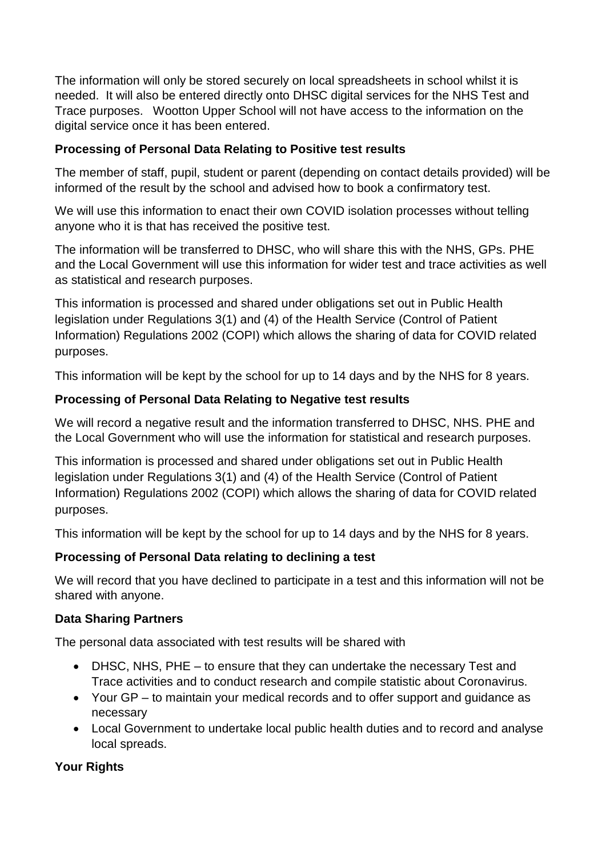The information will only be stored securely on local spreadsheets in school whilst it is needed. It will also be entered directly onto DHSC digital services for the NHS Test and Trace purposes. Wootton Upper School will not have access to the information on the digital service once it has been entered.

#### **Processing of Personal Data Relating to Positive test results**

The member of staff, pupil, student or parent (depending on contact details provided) will be informed of the result by the school and advised how to book a confirmatory test.

We will use this information to enact their own COVID isolation processes without telling anyone who it is that has received the positive test.

The information will be transferred to DHSC, who will share this with the NHS, GPs. PHE and the Local Government will use this information for wider test and trace activities as well as statistical and research purposes.

This information is processed and shared under obligations set out in Public Health legislation under Regulations 3(1) and (4) of the Health Service (Control of Patient Information) Regulations 2002 (COPI) which allows the sharing of data for COVID related purposes.

This information will be kept by the school for up to 14 days and by the NHS for 8 years.

# **Processing of Personal Data Relating to Negative test results**

We will record a negative result and the information transferred to DHSC, NHS, PHE and the Local Government who will use the information for statistical and research purposes.

This information is processed and shared under obligations set out in Public Health legislation under Regulations 3(1) and (4) of the Health Service (Control of Patient Information) Regulations 2002 (COPI) which allows the sharing of data for COVID related purposes.

This information will be kept by the school for up to 14 days and by the NHS for 8 years.

# **Processing of Personal Data relating to declining a test**

We will record that you have declined to participate in a test and this information will not be shared with anyone.

# **Data Sharing Partners**

The personal data associated with test results will be shared with

- DHSC, NHS, PHE to ensure that they can undertake the necessary Test and Trace activities and to conduct research and compile statistic about Coronavirus.
- Your GP to maintain your medical records and to offer support and guidance as necessary
- Local Government to undertake local public health duties and to record and analyse local spreads.

# **Your Rights**